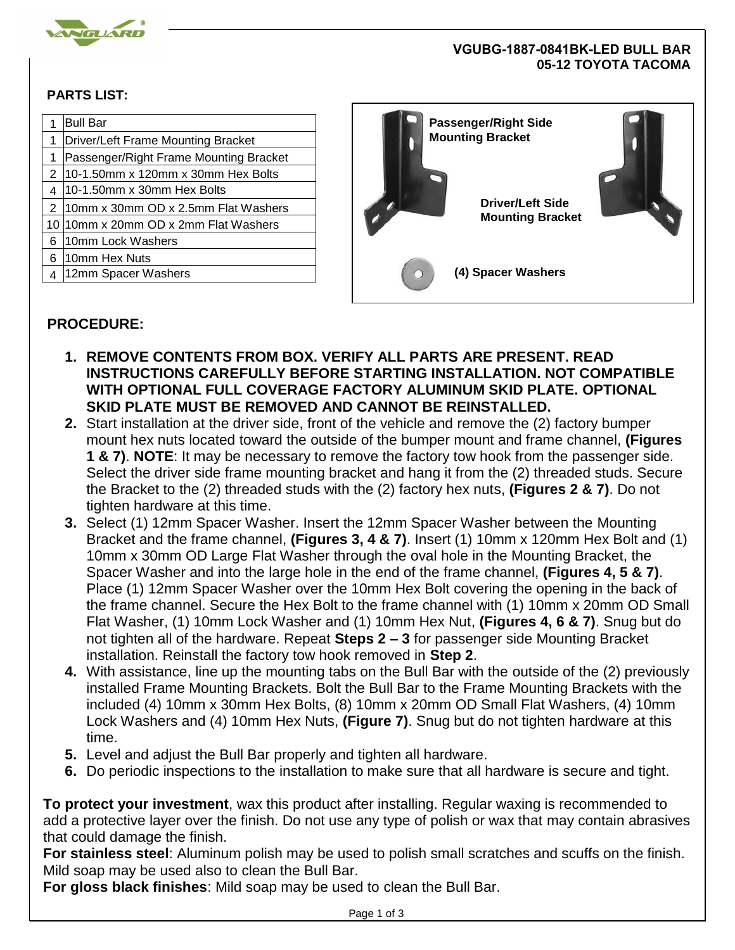

## **VGUBG-1887-0841BK-LED BULL BAR 05-12 TOYOTA TACOMA**

## **PARTS LIST:**

|   | <b>Bull Bar</b><br>Driver/Left Frame Mounting Bracket | <b>Passenger/Right Side</b><br><b>Mounting Bracket</b> |  |
|---|-------------------------------------------------------|--------------------------------------------------------|--|
|   | Passenger/Right Frame Mounting Bracket                |                                                        |  |
|   | 10-1.50mm x 120mm x 30mm Hex Bolts                    |                                                        |  |
|   | 10-1.50mm x 30mm Hex Bolts                            | <b>Driver/Left Side</b>                                |  |
|   | 10mm x 30mm OD x 2.5mm Flat Washers                   |                                                        |  |
|   | 10 10mm x 20mm OD x 2mm Flat Washers                  | <b>Mounting Bracket</b>                                |  |
| 6 | 10mm Lock Washers                                     |                                                        |  |
| 6 | 10mm Hex Nuts                                         |                                                        |  |
|   | 12mm Spacer Washers                                   | (4) Spacer Washers                                     |  |
|   |                                                       |                                                        |  |

## **PROCEDURE:**

- **1. REMOVE CONTENTS FROM BOX. VERIFY ALL PARTS ARE PRESENT. READ INSTRUCTIONS CAREFULLY BEFORE STARTING INSTALLATION. NOT COMPATIBLE WITH OPTIONAL FULL COVERAGE FACTORY ALUMINUM SKID PLATE. OPTIONAL SKID PLATE MUST BE REMOVED AND CANNOT BE REINSTALLED.**
- **2.** Start installation at the driver side, front of the vehicle and remove the (2) factory bumper mount hex nuts located toward the outside of the bumper mount and frame channel, **(Figures 1 & 7)**. **NOTE**: It may be necessary to remove the factory tow hook from the passenger side. Select the driver side frame mounting bracket and hang it from the (2) threaded studs. Secure the Bracket to the (2) threaded studs with the (2) factory hex nuts, **(Figures 2 & 7)**. Do not tighten hardware at this time.
- **3.** Select (1) 12mm Spacer Washer. Insert the 12mm Spacer Washer between the Mounting Bracket and the frame channel, **(Figures 3, 4 & 7)**. Insert (1) 10mm x 120mm Hex Bolt and (1) 10mm x 30mm OD Large Flat Washer through the oval hole in the Mounting Bracket, the Spacer Washer and into the large hole in the end of the frame channel, **(Figures 4, 5 & 7)**. Place (1) 12mm Spacer Washer over the 10mm Hex Bolt covering the opening in the back of the frame channel. Secure the Hex Bolt to the frame channel with (1) 10mm x 20mm OD Small Flat Washer, (1) 10mm Lock Washer and (1) 10mm Hex Nut, **(Figures 4, 6 & 7)**. Snug but do not tighten all of the hardware. Repeat **Steps 2 – 3** for passenger side Mounting Bracket installation. Reinstall the factory tow hook removed in **Step 2**.
- **4.** With assistance, line up the mounting tabs on the Bull Bar with the outside of the (2) previously installed Frame Mounting Brackets. Bolt the Bull Bar to the Frame Mounting Brackets with the included (4) 10mm x 30mm Hex Bolts, (8) 10mm x 20mm OD Small Flat Washers, (4) 10mm Lock Washers and (4) 10mm Hex Nuts, **(Figure 7)**. Snug but do not tighten hardware at this time.
- **5.** Level and adjust the Bull Bar properly and tighten all hardware.
- **6.** Do periodic inspections to the installation to make sure that all hardware is secure and tight.

**To protect your investment**, wax this product after installing. Regular waxing is recommended to add a protective layer over the finish. Do not use any type of polish or wax that may contain abrasives that could damage the finish.

**For stainless steel**: Aluminum polish may be used to polish small scratches and scuffs on the finish. Mild soap may be used also to clean the Bull Bar.

**For gloss black finishes**: Mild soap may be used to clean the Bull Bar.

Page 1 of 3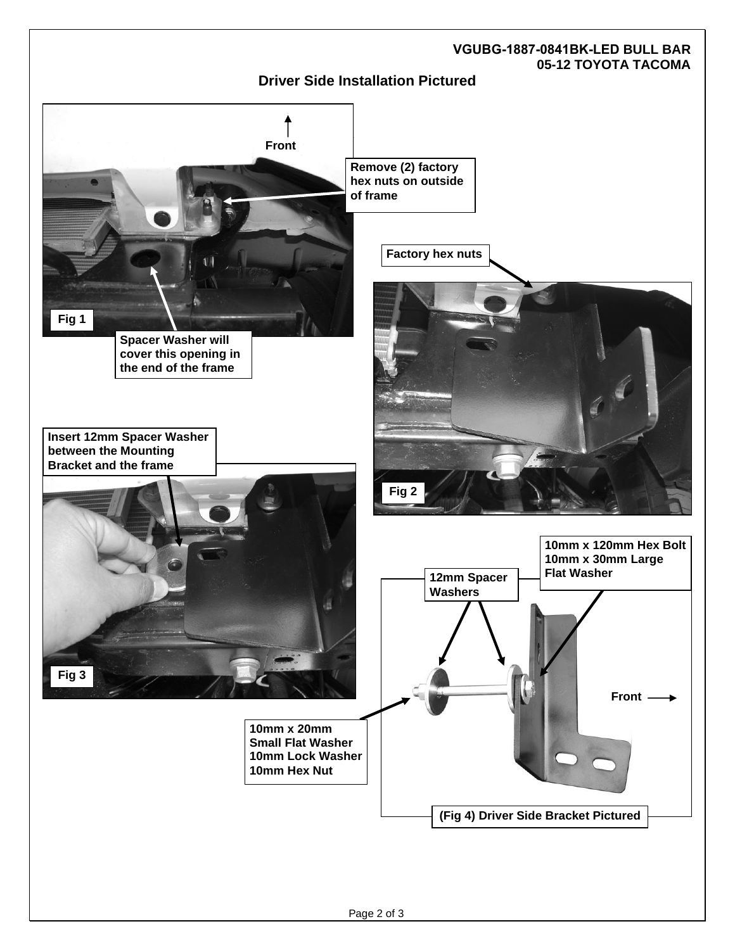